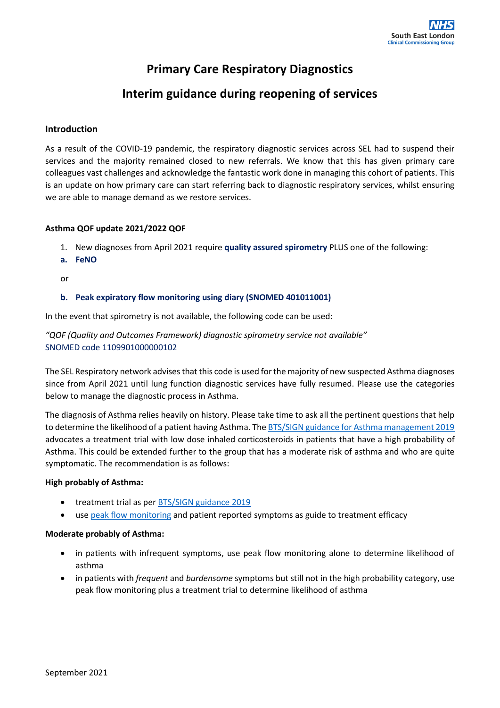# **Primary Care Respiratory Diagnostics**

## **Interim guidance during reopening of services**

#### **Introduction**

As a result of the COVID-19 pandemic, the respiratory diagnostic services across SEL had to suspend their services and the majority remained closed to new referrals. We know that this has given primary care colleagues vast challenges and acknowledge the fantastic work done in managing this cohort of patients. This is an update on how primary care can start referring back to diagnostic respiratory services, whilst ensuring we are able to manage demand as we restore services.

#### **Asthma QOF update 2021/2022 QOF**

- 1. New diagnoses from April 2021 require **quality assured spirometry** PLUS one of the following:
- **a. FeNO**
- or

#### **b. Peak expiratory flow monitoring using diary (SNOMED 401011001)**

In the event that spirometry is not available, the following code can be used:

### *"QOF (Quality and Outcomes Framework) diagnostic spirometry service not available"* SNOMED code 1109901000000102

The SEL Respiratory network advises that this code is used for the majority of new suspected Asthma diagnoses since from April 2021 until lung function diagnostic services have fully resumed. Please use the categories below to manage the diagnostic process in Asthma.

The diagnosis of Asthma relies heavily on history. Please take time to ask all the pertinent questions that help to determine the likelihood of a patient having Asthma. The BTS/SIGN [guidance for Asthma management 2019](https://www.brit-thoracic.org.uk/document-library/guidelines/asthma/btssign-guideline-for-the-management-of-asthma-2019/) advocates a treatment trial with low dose inhaled corticosteroids in patients that have a high probability of Asthma. This could be extended further to the group that has a moderate risk of asthma and who are quite symptomatic. The recommendation is as follows:

#### **High probably of Asthma:**

- treatment trial as per [BTS/SIGN guidance 2019](https://www.brit-thoracic.org.uk/document-library/guidelines/asthma/btssign-guideline-for-the-management-of-asthma-2019/)
- use [peak flow monitoring](https://www.asthma.org.uk/advice/manage-your-asthma/peak-flow/) and patient reported symptoms as guide to treatment efficacy

#### **Moderate probably of Asthma:**

- in patients with infrequent symptoms, use peak flow monitoring alone to determine likelihood of asthma
- in patients with *frequent* and *burdensome* symptoms but still not in the high probability category, use peak flow monitoring plus a treatment trial to determine likelihood of asthma